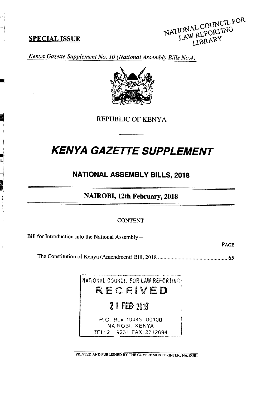## **SPECIAL ISSUE**

 $\frac{1}{3}$ 



*Kenya Gazette Supplement No. 10 (National Assembly Bills No.4)* 



**REPUBLIC OF KENYA** 

# **KENYA GAZETTE SUPPLEMENT**

# **NATIONAL ASSEMBLY BILLS, 2018**

**NAIROBI, 12th February, 2018** 

#### CONTENT

Bill for Introduction into the National Assembly —

PAGE

The Constitution of Kenya (Amendment) Bill, 2018 .................................................. *65* 

NATIONAL COUNCIL FOR LAW REPORTING *RECEVED*  2 1 FEB 2018 P.O. Box 10443-00100 NAIROBI, KENYA TEL: 2 - 9231 FAX: 2712694

PRINTED AND PUBLISHED BY THE GOVERNMENT PRINTER, NAIROBI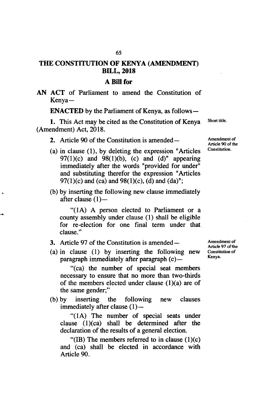# **THE CONSTITUTION OF KENYA (AMENDMENT) BILL, 2018**

#### **A Bill for**

AN ACT of Parliament to amend the Constitution of Kenya-

**ENACTED** by the Parliament of Kenya, as follows-

1. This Act may be cited as the Constitution of Kenya Short title. (Amendment) Act, 2018.

- 2. Article 90 of the Constitution is amended—
- (a) in clause  $(1)$ , by deleting the expression "Articles"  $97(1)(c)$  and  $98(1)(b)$ , (c) and (d)" appearing immediately after the words "provided for under" and substituting therefor the expression "Articles 97(1)(c) and (ca) and 98(1)(c), (d) and (da)";
- by inserting the following new clause immediately after clause  $(1)$ -

"(1A) A person elected to Parliament or a county assembly under clause (1) shall be eligible for re-election for one final term under that clause."

3. Article 97 of the Constitution is amended-

٠

(a) in clause (1) by inserting the following new paragraph immediately after paragraph  $(c)$ —

"(ca) the number of special seat members necessary to ensure that no more than two-thirds of the members elected under clause  $(1)(a)$  are of the same gender;"

by inserting the following new clauses immediately after clause  $(1)$  —

"(1A) The number of special seats under clause (1)(ca) shall be determined after the declaration of the results of a general election.

"(IB) The members referred to in clause  $(1)(c)$ and (ca) shall be elected in accordance with Article 90.

Amendment of Article 97 of the Constitution of Kenya.

Amendment of Article 90 of the Constitution.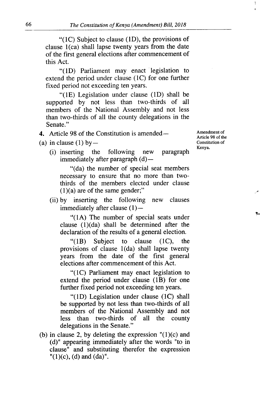" $(1C)$  Subject to clause  $(1D)$ , the provisions of clause  $1$ (ca) shall lapse twenty years from the date of the first general elections after commencement of this Act.

 $\degree$ (1D) Parliament may enact legislation to extend the period under clause (1C) for one further fixed period not exceeding ten years.

"(1E) Legislation under clause (1D) shall be supported by not less than two-thirds of all members of the National Assembly and not less than two-thirds of all the county delegations in the Senate."

- (a) in clause (1) by  $-$ 
	- (i) inserting the following new paragraph immediately after paragraph  $(d)$ —

**Amendment of Article 98 of the Constitution of Kenya.** 

"(da) the number of special seat members necessary to ensure that no more than twothirds of the members elected under clause  $(1)(a)$  are of the same gender;"

by inserting the following new clauses immediately after clause  $(1)$  --

"(lA) The number of special seats under clause (l)(da) shall be determined after the declaration of the results of a general election.

" $(1B)$ Subject to clause (1C), the provisions of clause  $1(da)$  shall lapse twenty years from the date of the first general elections after commencement of this Act.

"(1C) Parliament may enact legislation to extend the period under clause (1B) for one further fixed period not exceeding ten years.

" $(1D)$  Legislation under clause  $(1C)$  shall be supported by not less than two-thirds of all members of the National Assembly and not less than two-thirds of all the county delegations in the Senate."

(b) in clause 2, by deleting the expression  $(1)(c)$  and (d)" appearing immediately after the words "to in clause" and substituting therefor the expression  $''(1)(c)$ , (d) and (da)".

<sup>4.</sup> Article 98 of the Constitution is amended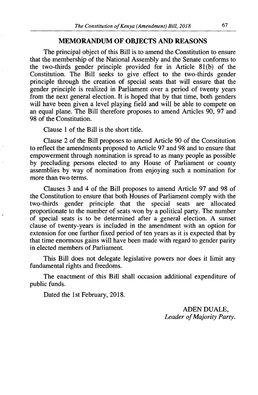### **MEMORANDUM OF OBJECTS AND REASONS**

The principal object of this Bill is to amend the Constitution to ensure that the membership of the National Assembly and the Senate conforms to the two-thirds gender principle provided for in Article 81(b) of the Constitution. The Bill seeks to give effect to the two-thirds gender principle through the creation of special seats. that will ensure that the gender principle is realized in Parliament over a period of twenty years from the next general election. It is hoped that by that time, both genders will have been given a level playing field and will be able to compete on an equal plane. The Bill therefore proposes to amend Articles 90, 97 and 98 of the Constitution.

Clause 1 of the Bill is the short title.

Clause 2 of the Bill proposes to amend Article 90 of the Constitution to reflect the amendments proposed to Article 97 and 98 and to ensure that empowerment through nomination is spread to as many people as possible by precluding persons elected to any House of Parliament or county assemblies by way of nomination from enjoying such a nomination for more than two terms.

Clauses 3 and 4 of the Bill proposes to amend Article 97 and 98 of the Constitution to ensure that both Houses of Parliament comply with the two-thirds gender principle that the special seats are allocated proportionate to the number of seats won by a political party. The number of special seats is to be determined after a general election. A sunset clause of twenty-years is included in the amendment with an option for extension for one further fixed period of ten years as it is expected that by that time enormous gains will have been made with regard to gender parity in elected members of Parliament.

This Bill does not delegate legislative powers nor does it limit any fundamental rights and freedoms.

The enactment of this Bill shall occasion additional expenditure of public funds.

Dated the 1st February, 2018.

ADEN DUALE, *Leader* of *Majority Party.*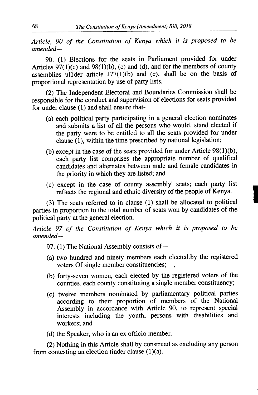*Article, 90 of the Constitution of Kenya which it is proposed to be amended-*

90. (1) Elections for the seats in Parliament provided for under Articles  $97(1)(c)$  and  $98(1)(b)$ , (c) and (d), and for the members of county assemblies ullder article  $J77(1)(b)$  and (c), shall be on the basis of proportional representation by use of party lists.

(2) The Independent Electoral and Boundaries Commission shall be responsible for the conduct and supervision of elections for seats provided for under clause (1) and shall ensure that-

- (a) each political party participating in a general election nominates and submits a list of all the persons who would, stand elected if the party were to be entitled to all the seats provided for under clause (1), within the time prescribed by national legislation;
- (b) except in the case of the seats provided for under Article  $98(1)(b)$ , each party list comprises the appropriate number of qualified candidates and alternates between male and female candidates in the priority in which they are listed; and
- except in the case of county assembly' seats; each party list reflects the regional and ethnic diversity of the people of Kenya.

(3) The seats referred to in clause (1) shall be allocated to political parties in proportion to the total number of seats won by candidates of the political party at the general election.

*Article 97 of the Constitution of Kenya which it is proposed to be amended-*

- 97. (1) The National Assembly consists of -
- (a) two hundred and ninety members each elected.by the registered voters Of single member constituencies;
- (b) forty-seven women, each elected by the registered voters of the counties, each county constituting a single member constituency;
- twelve members nominated by parliamentary political parties according to their proportion of members of the National Assembly in accordance with Article 90, to represent special interests including the youth, persons with disabilities and workers; and

(d) the Speaker, who is an ex officio member.

(2) Nothing in this Article shall by construed as excluding any person from contesting an election tinder clause  $(1)(a)$ .